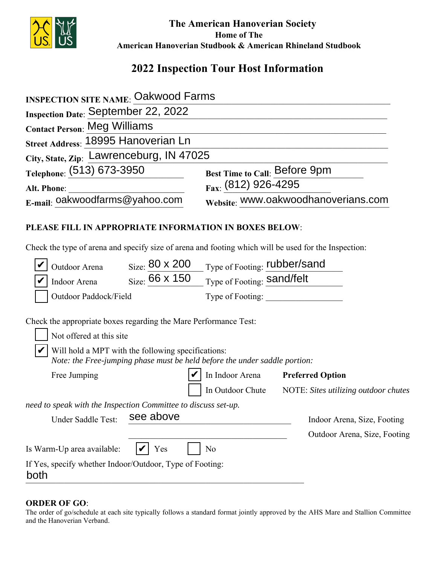

 **The American Hanoverian Society Home of The American Hanoverian Studbook & American Rhineland Studbook**

# **2022 Inspection Tour Host Information**

| <b>INSPECTION SITE NAME: Oakwood Farms</b>                                                                                                                            |                                                          |  |  |  |
|-----------------------------------------------------------------------------------------------------------------------------------------------------------------------|----------------------------------------------------------|--|--|--|
| Inspection Date: September 22, 2022                                                                                                                                   |                                                          |  |  |  |
| <b>Contact Person: Meg Williams</b>                                                                                                                                   |                                                          |  |  |  |
| Street Address: 18995 Hanoverian Ln                                                                                                                                   |                                                          |  |  |  |
| City, State, Zip: Lawrenceburg, IN 47025                                                                                                                              |                                                          |  |  |  |
| Telephone: (513) 673-3950                                                                                                                                             | Best Time to Call: Before 9pm                            |  |  |  |
| Alt. Phone:                                                                                                                                                           | Fax: (812) 926-4295                                      |  |  |  |
| E-mail: oakwoodfarms@yahoo.com                                                                                                                                        | Website: WWW.oakwoodhanoverians.com                      |  |  |  |
| <b>PLEASE FILL IN APPROPRIATE INFORMATION IN BOXES BELOW:</b><br>Check the type of arena and specify size of arena and footing which will be used for the Inspection: |                                                          |  |  |  |
| $_{\text{Size}}$ 80 x 200<br>Outdoor Arena                                                                                                                            | Type of Footing: <b>rubber/sand</b>                      |  |  |  |
| $_{\rm Size.}$ 66 x 150<br>Indoor Arena                                                                                                                               | Type of Footing: Sand/felt                               |  |  |  |
| Outdoor Paddock/Field                                                                                                                                                 | Type of Footing:                                         |  |  |  |
| Check the appropriate boxes regarding the Mare Performance Test:<br>Not offered at this site                                                                          |                                                          |  |  |  |
| Will hold a MPT with the following specifications:<br>Note: the Free-jumping phase must be held before the under saddle portion:                                      |                                                          |  |  |  |
| Free Jumping                                                                                                                                                          | In Indoor Arena<br><b>Preferred Option</b>               |  |  |  |
|                                                                                                                                                                       | In Outdoor Chute<br>NOTE: Sites utilizing outdoor chutes |  |  |  |
| need to speak with the Inspection Committee to discuss set-up.                                                                                                        |                                                          |  |  |  |
| see above<br>Under Saddle Test:                                                                                                                                       | Indoor Arena, Size, Footing                              |  |  |  |
|                                                                                                                                                                       | Outdoor Arena, Size, Footing                             |  |  |  |
| Is Warm-Up area available:<br>Yes                                                                                                                                     | No                                                       |  |  |  |
| If Yes, specify whether Indoor/Outdoor, Type of Footing:<br>both                                                                                                      |                                                          |  |  |  |

### **ORDER OF GO**:

The order of go/schedule at each site typically follows a standard format jointly approved by the AHS Mare and Stallion Committee and the Hanoverian Verband.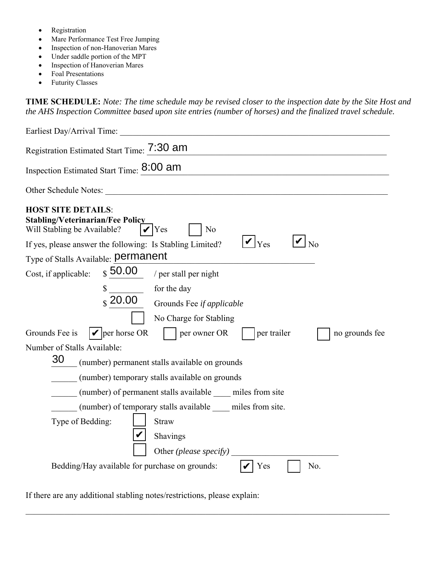- Registration
- Mare Performance Test Free Jumping
- Inspection of non-Hanoverian Mares
- Under saddle portion of the MPT
- Inspection of Hanoverian Mares
- Foal Presentations
- Futurity Classes

**TIME SCHEDULE:** *Note: The time schedule may be revised closer to the inspection date by the Site Host and the AHS Inspection Committee based upon site entries (number of horses) and the finalized travel schedule.* 

| Earliest Day/Arrival Time:                                                                                                                                                                                    |
|---------------------------------------------------------------------------------------------------------------------------------------------------------------------------------------------------------------|
| Registration Estimated Start Time: 7:30 am                                                                                                                                                                    |
| Inspection Estimated Start Time: 8:00 am                                                                                                                                                                      |
| Other Schedule Notes:                                                                                                                                                                                         |
| <b>HOST SITE DETAILS:</b><br><b>Stabling/Veterinarian/Fee Policy</b><br>Will Stabling be Available?<br>N <sub>o</sub><br>Yes<br><b>Yes</b><br>No<br>If yes, please answer the following: Is Stabling Limited? |
| Type of Stalls Available: permanent                                                                                                                                                                           |
| $_{\$}$ 50.00<br>Cost, if applicable:<br>/ per stall per night                                                                                                                                                |
| for the day<br>\$<br>$\frac{1}{2}$ 20.00<br>Grounds Fee if applicable<br>No Charge for Stabling<br>$\blacktriangleright$ per horse OR<br>Grounds Fee is<br>per owner OR<br>per trailer<br>no grounds fee      |
| Number of Stalls Available:                                                                                                                                                                                   |
| 30<br>(number) permanent stalls available on grounds                                                                                                                                                          |
| (number) temporary stalls available on grounds                                                                                                                                                                |
| (number) of permanent stalls available _____ miles from site                                                                                                                                                  |
| (number) of temporary stalls available _____ miles from site.                                                                                                                                                 |
| <b>Straw</b><br>Type of Bedding:                                                                                                                                                                              |
| Shavings                                                                                                                                                                                                      |
| Other (please specify)                                                                                                                                                                                        |
| Bedding/Hay available for purchase on grounds:<br>Yes<br>No.                                                                                                                                                  |

 $\_$  ,  $\_$  ,  $\_$  ,  $\_$  ,  $\_$  ,  $\_$  ,  $\_$  ,  $\_$  ,  $\_$  ,  $\_$  ,  $\_$  ,  $\_$  ,  $\_$  ,  $\_$  ,  $\_$  ,  $\_$  ,  $\_$  ,  $\_$  ,  $\_$  ,  $\_$  ,  $\_$  ,  $\_$  ,  $\_$  ,  $\_$  ,  $\_$  ,  $\_$  ,  $\_$  ,  $\_$  ,  $\_$  ,  $\_$  ,  $\_$  ,  $\_$  ,  $\_$  ,  $\_$  ,  $\_$  ,  $\_$  ,  $\_$  ,

If there are any additional stabling notes/restrictions, please explain: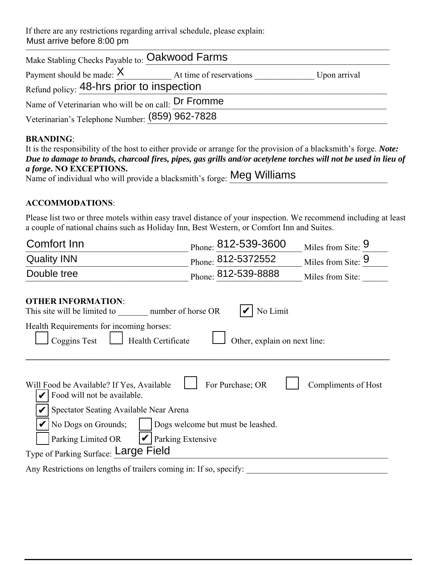If there are any restrictions regarding arrival schedule, please explain: Must arrive before 8:00 pm

| Make Stabling Checks Payable to: Oakwood Farms      |  |              |  |  |
|-----------------------------------------------------|--|--------------|--|--|
| Payment should be made: $X$ At time of reservations |  | Upon arrival |  |  |
| Refund policy: 48-hrs prior to inspection           |  |              |  |  |
| Name of Veterinarian who will be on call: Dr Fromme |  |              |  |  |
| Veterinarian's Telephone Number: (859) 962-7828     |  |              |  |  |

## **BRANDING**:

| It is the responsibility of the host to either provide or arrange for the provision of a blacksmith's forge. <i>Note:</i> |
|---------------------------------------------------------------------------------------------------------------------------|
| Due to damage to brands, charcoal fires, pipes, gas grills and/or acetylene torches will not be used in lieu of           |
| <i>a forge.</i> NO EXCEPTIONS.                                                                                            |
| Name of individual who will provide a blacksmith's forge: Meg Williams                                                    |

## **ACCOMMODATIONS**:

Please list two or three motels within easy travel distance of your inspection. We recommend including at least a couple of national chains such as Holiday Inn, Best Western, or Comfort Inn and Suites.

| Comfort Inn                                                                                                                                                                                                                                                                                                  |  | Phone: 812-539-3600          |  | Miles from Site: 9 |  |  |  |
|--------------------------------------------------------------------------------------------------------------------------------------------------------------------------------------------------------------------------------------------------------------------------------------------------------------|--|------------------------------|--|--------------------|--|--|--|
| <b>Quality INN</b>                                                                                                                                                                                                                                                                                           |  | Phone: 812-5372552           |  | Miles from Site: 9 |  |  |  |
| Double tree                                                                                                                                                                                                                                                                                                  |  | Phone: 812-539-8888          |  | Miles from Site:   |  |  |  |
| <b>OTHER INFORMATION:</b><br>This site will be limited to<br>number of horse OR                                                                                                                                                                                                                              |  | No Limit                     |  |                    |  |  |  |
| Health Requirements for incoming horses:<br>Coggins Test<br>Health Certificate                                                                                                                                                                                                                               |  | Other, explain on next line: |  |                    |  |  |  |
| For Purchase; OR<br>Compliments of Host<br>Will Food be Available? If Yes, Available<br>Food will not be available.<br>Spectator Seating Available Near Arena<br>No Dogs on Grounds;<br>Dogs welcome but must be leashed.<br>Parking Extensive<br>Parking Limited OR<br>Type of Parking Surface: Large Field |  |                              |  |                    |  |  |  |
|                                                                                                                                                                                                                                                                                                              |  |                              |  |                    |  |  |  |
| Any Restrictions on lengths of trailers coming in: If so, specify:                                                                                                                                                                                                                                           |  |                              |  |                    |  |  |  |